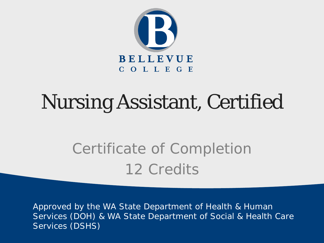

### Nursing Assistant, Certified

Certificate of Completion 12 Credits

Approved by the WA State Department of Health & Human Services (DOH) & WA State Department of Social & Health Care Services (DSHS)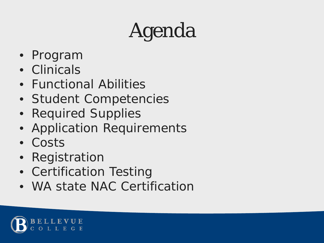## Agenda

- Program
- Clinicals
- Functional Abilities
- Student Competencies
- Required Supplies
- Application Requirements
- Costs
- Registration
- Certification Testing
- WA state NAC Certification

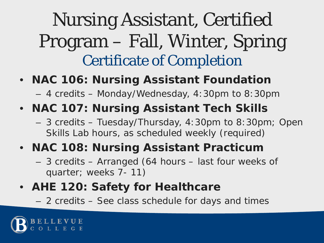### Nursing Assistant, Certified Program – Fall, Winter, Spring Certificate of Completion

- **NAC 106: Nursing Assistant Foundation** 
	- 4 credits Monday/Wednesday, 4:30pm to 8:30pm
- **NAC 107: Nursing Assistant Tech Skills**
	- 3 credits Tuesday/Thursday, 4:30pm to 8:30pm; Open Skills Lab hours, as scheduled weekly (required)
- **NAC 108: Nursing Assistant Practicum**
	- 3 credits Arranged (64 hours *last four weeks of quarter; weeks 7- 11*)
- **AHE 120: Safety for Healthcare**
	- 2 credits See class schedule for days and times

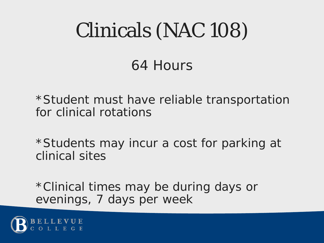## Clinicals (NAC 108)

### 64 Hours

\*Student must have reliable transportation for clinical rotations

\*Students may incur a cost for parking at clinical sites

\*Clinical times may be during days or evenings, 7 days per week

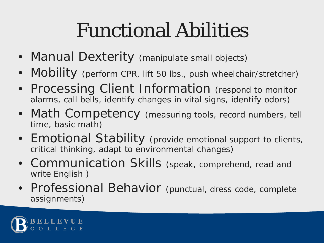### Functional Abilities

- Manual Dexterity (manipulate small objects)
- Mobility (perform CPR, lift 50 lbs., push wheelchair/stretcher)
- Processing Client Information (respond to monitor alarms, call bells, identify changes in vital signs, identify odors)
- Math Competency (measuring tools, record numbers, tell time, basic math)
- Emotional Stability (provide emotional support to clients, critical thinking, adapt to environmental changes)
- Communication Skills (speak, comprehend, read and write English )
- Professional Behavior (punctual, dress code, complete assignments)

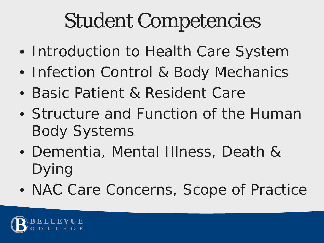### Student Competencies

- Introduction to Health Care System
- Infection Control & Body Mechanics
- Basic Patient & Resident Care
- Structure and Function of the Human Body Systems
- Dementia, Mental Illness, Death & Dying
- NAC Care Concerns, Scope of Practice

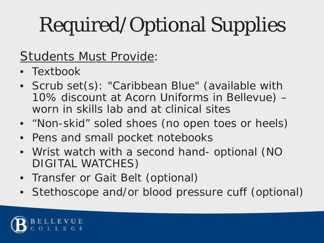# Required/Optional Supplies

#### Students Must Provide:

- Textbook
- Scrub set(s): "Caribbean Blue" (available with 10% discount at Acorn Uniforms in Bellevue) – *worn in skills lab and at clinical sites*
- "Non-skid" soled shoes (no open toes or heels)
- Pens and small pocket notebooks
- Wrist watch with a second hand- optional (NO DIGITAL WATCHES)
- Transfer or Gait Belt (optional)
- Stethoscope and/or blood pressure cuff (optional)

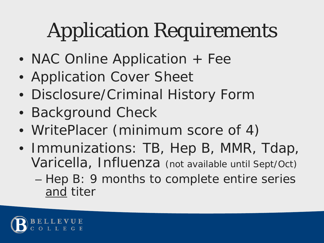## Application Requirements

- NAC Online Application + Fee
- Application Cover Sheet
- Disclosure/Criminal History Form
- Background Check
- WritePlacer (minimum score of 4)
- Immunizations: TB, Hep B, MMR, Tdap, Varicella, Influenza *(not available until Sept/Oct)*
	- Hep B: 9 months to complete entire series and titer

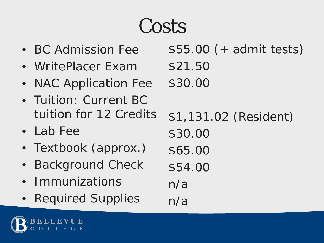### Costs

- BC Admission Fee
- WritePlacer Exam
- NAC Application Fee
- Tuition: Current BC tuition for 12 Credits
- Lab Fee
- Textbook (approx.)
- **Background Check**
- Immunizations
- Required Supplies

\$55.00 (+ admit tests) \$21.50 \$30.00 \$1,131.02 (Resident) \$30.00 \$65.00 \$54.00 n/a n/a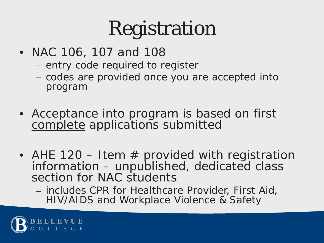### Registration

- NAC 106, 107 and 108
	- entry code required to register
	- codes are provided once you are accepted into program
- Acceptance into program is based on first complete applications submitted
- AHE 120 Item  $#$  provided with registration information – unpublished, dedicated class section for NAC students
	- includes CPR for Healthcare Provider, First Aid, HIV/AIDS and Workplace Violence & Safety

![](_page_9_Picture_7.jpeg)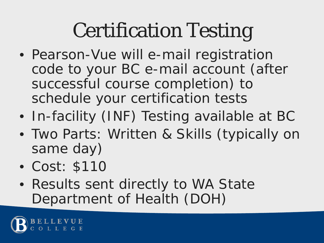### Certification Testing

- Pearson-Vue will e-mail registration code to your BC e-mail account (after successful course completion) to schedule your certification tests
- In-facility (INF) Testing available at BC
- Two Parts: Written & Skills (typically on same day)
- Cost: \$110
- Results sent directly to WA State Department of Health (DOH)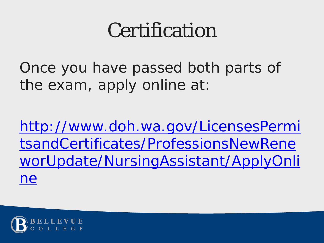### Certification

Once you have passed both parts of the exam, apply online at:

http://www.doh.wa.gov/LicensesPermi tsandCertificates/ProfessionsNewRene [worUpdate/NursingAssistant/ApplyOnli](http://www.doh.wa.gov/LicensesPermitsandCertificates/ProfessionsNewReneworUpdate/NursingAssistant/ApplyOnline) ne

![](_page_11_Picture_3.jpeg)